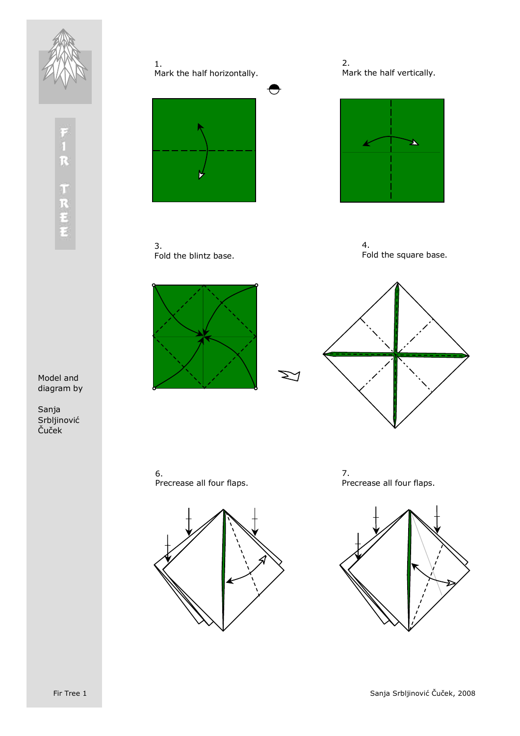

Model and diagram by

Sanja Srbljinović Cuček



Mark the half vertically.



Fold the square base.



Precrease all four flaps.

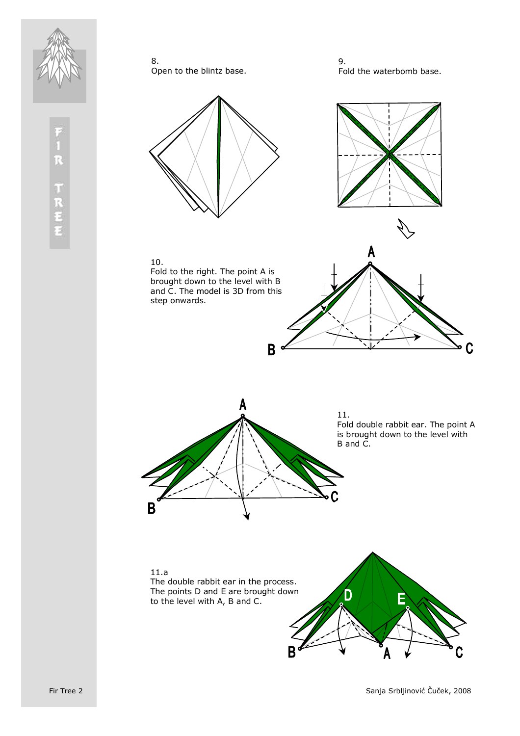



9. Fold the waterbomb base.





A

## 10.

Fold to the right. The point A is brought down to the level with B and C. The model is 3D from this step onwards.



11. Fold double rabbit ear. The point A is brought down to the level with B and C.

C



11.a The double rabbit ear in the process. The points D and E are brought down to the level with A, B and C.

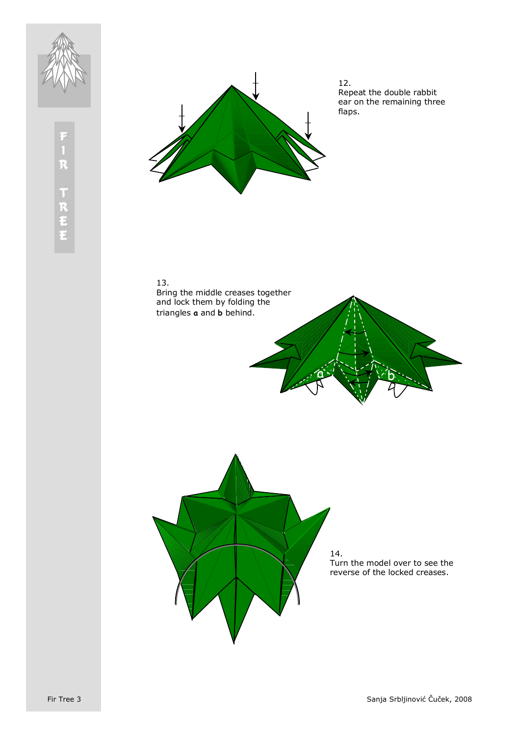



12. Repeat the double rabbit ear on the remaining three flaps.